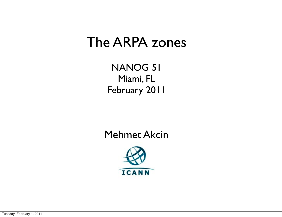#### The ARPA zones

NANOG 51 Miami, FL February 2011

Mehmet Akcin

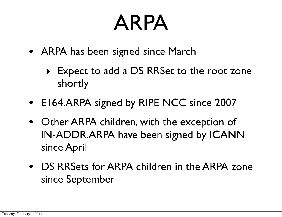# ARPA

- ARPA has been signed since March
	- ‣ Expect to add a DS RRSet to the root zone shortly
- E164.ARPA signed by RIPE NCC since 2007
- Other ARPA children, with the exception of IN-ADDR.ARPA have been signed by ICANN since April
- DS RRSets for ARPA children in the ARPA zone since September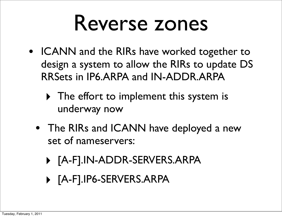## Reverse zones

- ICANN and the RIRs have worked together to design a system to allow the RIRs to update DS RRSets in IP6.ARPA and IN-ADDR.ARPA
	- ‣ The effort to implement this system is underway now
	- The RIRs and ICANN have deployed a new set of nameservers:
		- ‣ [A-F].IN-ADDR-SERVERS.ARPA
		- ‣ [A-F].IP6-SERVERS.ARPA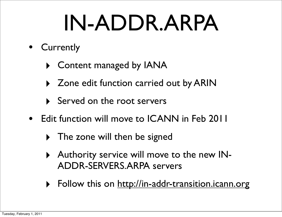# IN-ADDR.ARPA

- Currently
	- ‣ Content managed by IANA
	- ‣ Zone edit function carried out by ARIN
	- ‣ Served on the root servers
- Edit function will move to ICANN in Feb 2011
	- ‣ The zone will then be signed
	- ‣ Authority service will move to the new IN-ADDR-SERVERS.ARPA servers
	- Follow this on<http://in-addr-transition.icann.org>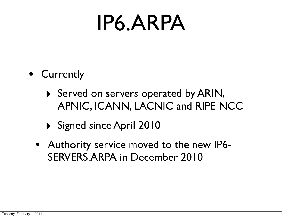## IP6.ARPA

- Currently
	- ‣ Served on servers operated by ARIN, APNIC, ICANN, LACNIC and RIPE NCC
	- ‣ Signed since April 2010
	- Authority service moved to the new IP6- SERVERS.ARPA in December 2010